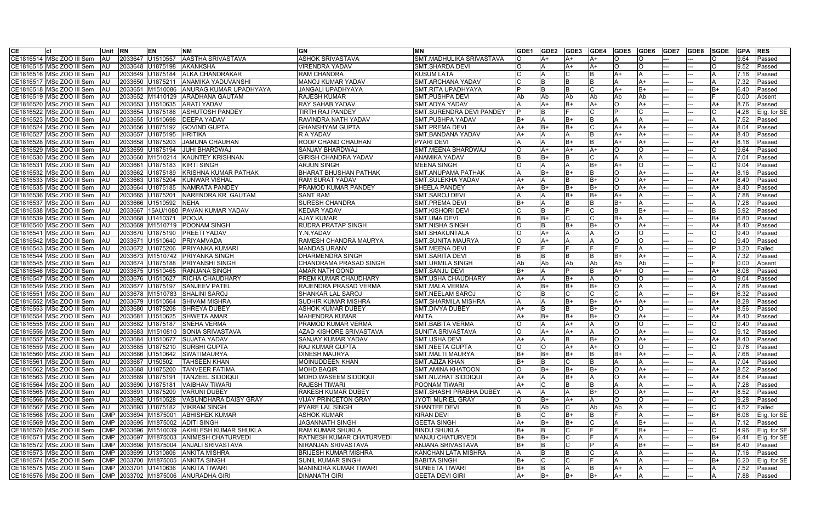| <b>CE</b> |                             | Unit RN    |         | EN                   | <b>NM</b>                                  | <b>GN</b>                       | <b>MN</b>                      | GDE1 | <b>GDE2</b> | <b>IGDE3 IGDE4</b> |           | <b>GDE5 GDE6</b> |          | <b>GDE7</b> | <b>GDE8</b> | <b>SGDE</b> | <b>GPA</b> | <b>RES</b>        |
|-----------|-----------------------------|------------|---------|----------------------|--------------------------------------------|---------------------------------|--------------------------------|------|-------------|--------------------|-----------|------------------|----------|-------------|-------------|-------------|------------|-------------------|
|           | CE1816514 MSc ZOO III Sem   | <b>AU</b>  |         | 2033647 U1510557     | <b>AASTHA SRIVASTAVA</b>                   | <b>ASHOK SRIVASTAVA</b>         | SMT.MADHULIKA SRIVASTAVA       |      | lA+         | A+                 |           |                  | ∩        |             |             |             | 9.64       | Passed            |
|           | CE1816515 MSc ZOO III Sem   | AU         |         | 2033648 U1875198     | <b>AKANKSHA</b>                            | <b>VIRENDRA YADAV</b>           | <b>SMT.SHARDA DEVI</b>         | IO.  |             | A+                 | A+        |                  | Ω        |             |             |             | 9.52       | Passed            |
|           | CE1816516 MSc ZOO III Sem   | <b>IAU</b> |         | 2033649 U1875184     | <b>JALKA CHANDRAKAR</b>                    | <b>RAM CHANDRA</b>              | <b>KUSUM LATA</b>              |      |             |                    |           | ΙA+              |          |             |             |             | 7.16       | Passed            |
|           | CE1816517 MSc ZOO III Sem   | <b>AU</b>  | 2033650 | U1875211             | <b>ANAMIKA YADUVANSHI</b>                  | MANOJ KUMAR YADAV               | <b>SMT.ARCHANA YADAV</b>       |      |             |                    |           |                  | A+       |             |             |             | 7.32       | Passed            |
|           | CE1816518 MSc ZOO III Sem   | AU         | 2033651 | M1510086             | <b>ANURAG KUMAR UPADHYAYA</b>              | <b>JANGALI UPADHYAYA</b>        | SMT.RITA UPADHYAYA             |      | IB.         |                    |           | A+               | B+       |             |             |             | 6.40       | Passed            |
|           | CE1816519 IMSc ZOO III Sem  | AU         |         | 2033652 M1410129     | <b>ARADHANA GAUTAM</b>                     | <b>RAJESH KUMAR</b>             | <b>SMT.PUSHPA DEVI</b>         | l Ab | l Ab        | Ab                 | <b>Ab</b> | l Ab             | Ab       |             |             |             | 0.00       | Absent            |
|           | CE1816520 MSc ZOO III Sem   | AU         | 2033653 | U1510635             | <b>ARATI YADAV</b>                         | <b>RAY SAHAB YADAV</b>          | SMT.ADYA YADAV                 |      | A+          |                    | A+        |                  | A+       |             |             | A+          | 8.76       | Passed            |
|           | CE1816522 MSc ZOO III Sem   | <b>IAU</b> | 2033654 | U1875186             | <b>ASHUTOSH PANDEY</b>                     | <b>TIRTH RAJ PANDEY</b>         | SMT.SURENDRA DEVI PANDEY       |      |             |                    | IC.       |                  |          |             |             |             | 4.28       | Elig. for SE      |
|           | CE1816523 MSc ZOO III Sem   | <b>IAU</b> | 2033655 | U1510698             | <b>DEEPA YADAV</b>                         | RAVINDRA NATH YADAV             | <b>SMT.PUSHPA YADAV</b>        | IB+  |             |                    | IR        |                  |          |             |             |             | 7.52       | Passed            |
|           | CE1816524 MSc ZOO III Sem   | <b>IAU</b> | 2033656 | U1875192             | <b>GOVIND GUPTA</b>                        | <b>GHANSHYAM GUPTA</b>          | <b>SMT.PREMA DEVI</b>          | A+   | lB+         | B+                 |           | A+               | A+       |             |             | A+          | 8.04       | Passed            |
| CE1816527 | MSc ZOO III Sem             | AU         | 2033657 | U1875195             | <b>HRITIKA</b>                             | <b>R A YADAV</b>                | SMT.BANDANA YADAV              | lA+  |             |                    |           | lA+              | A+       |             |             | A+          | 8.40       | Passed            |
|           | CE1816528   MSc ZOO III Sem | AU         | 2033658 | U1875203             | <b>JAMUNA CHAUHAN</b>                      | <b>ROOP CHAND CHAUHAN</b>       | PYARI DEVI                     |      |             |                    |           | A+               | A+       |             |             | A٦          | 8.16       | Passed            |
|           | CE1816529 MSc ZOO III Sem   | <b>AU</b>  | 2033659 | U1875194             | IJUHI BHARDWAJ                             | <b>SANJAY BHARDWAJ</b>          | SMT.MEENA BHARDWAJ             |      | ΙA+         |                    | A+        | Ю                |          |             |             |             | 9.64       | Passed            |
|           | CE1816530 MSc ZOO III Sem   | IAU.       | 2033660 | M1510214             | <b>KAUNTEY KRISHNAN</b>                    | <b>GIRISH CHANDRA YADAV</b>     | ANAMIKA YADAV                  |      | IB+         |                    |           |                  |          |             |             |             | 7.04       | Passed            |
|           | CE1816531 MSc ZOO III Sem   | AU         | 2033661 | U1875183             | <b>KIRTI SINGH</b>                         | <b>ARJUN SINGH</b>              | MEENA SINGH                    |      |             |                    | B+        | A+               |          |             |             |             | 9.04       | Passed            |
|           | CE1816532 MSc ZOO III Sem   | AU         | 2033662 | U1875189             | KRISHNA KUMAR PATHAK                       | <b>BHARAT BHUSHAN PATHAK</b>    | <b>SMT.ANUPAMA PATHAK</b>      |      | lB+         |                    |           | IO.              | A+       |             |             | A۰          | 8.16       | Passed            |
|           | CE1816533 MSc ZOO III Sem   | AU         | 2033663 | U1875204             | <b>KUNWAR VISHAL</b>                       | <b>RAM SURAT YADAV</b>          | <b>SMT.SULEKHA YADAV</b>       |      |             |                    | IB+       | lO.              | A+       |             |             | A+          | 8.40       | Passed            |
|           | CE1816535 MSc ZOO III Sem   | <b>AU</b>  | 2033664 | U1875185             | NAMRATA PANDEY                             | <b>PRAMOD KUMAR PANDEY</b>      | <b>SHEELA PANDEY</b>           | $A+$ | lB+         |                    | IB+       | lO.              | A+       |             |             |             | 8.40       | Passed            |
|           | CE1816536 MSc ZOO III Sem   | AU         | 2033665 | U1875201             | NARENDRA KR GAUTAM                         | <b>SANT RAM</b>                 | SMT.SAROJ DEVI                 |      |             |                    | B+        | A+               |          |             |             |             | 7.88       | Passed            |
|           | CE1816537 MSc ZOO III Sem   | AU         | 2033666 | U1510592             | <b>NEHA</b>                                | <b>SURESH CHANDRA</b>           | <b>SMT.PREMA DEVI</b>          | IB+  |             |                    |           | B+               |          |             |             |             | 7.28       | Passed            |
|           | CE1816538 MSc ZOO III Sem   | AU         | 2033667 | 15AU/1080            | <b>PAVAN KUMAR YADAV</b>                   | <b>KEDAR YADAV</b>              | <b>SMT.KISHORI DEVI</b>        |      |             |                    |           |                  | B+       |             |             |             | 5.92       | Passed            |
|           | CE1816539 MSc ZOO III Sem   | <b>AU</b>  | 2033668 | U1410371             | POOJA                                      | <b>AJAY KUMAR</b>               | <b>SMT.UMA DEVI</b>            |      | lB+         |                    |           | IB+              |          |             |             | B+          | 6.80       | Passed            |
|           | CE1816540 MSc ZOO III Sem   | AU         | 2033669 | M1510719             | <b>POONAM SINGH</b>                        | <b>RUDRA PRATAP SINGH</b>       | <b>SMT.NISHA SINGH</b>         |      |             | B+                 | B+        |                  | A+       |             |             | A+          | 8.40       | Passed            |
|           | CE1816541 MSc ZOO III Sem   | AU         | 2033670 | U1875190             | <b>PREETI YADAV</b>                        | Y.N.YADAV                       | SMT.SHAKUNTALA                 |      | lA+         |                    |           | $\circ$          |          |             |             |             | 9.40       | Passed            |
|           | CE1816542 MSc ZOO III Sem   | AU         | 2033671 | U1510640             | PRIYAMVADA                                 | RAMESH CHANDRA MAURYA           | SMT.SUNITA MAURYA              |      | ΙA+         |                    |           | In               | ∩        |             |             |             | 9.40       | Passed            |
|           | CE1816543 MSc ZOO III Sem   | <b>IAU</b> |         | 2033672 U1875206     | <b>PRIYANKA KUMARI</b>                     | <b>MANDAS URANV</b>             | <b>SMT.MEENA DEVI</b>          |      |             |                    |           |                  |          |             |             |             | 3.20       | Failed            |
|           | CE1816544 MSc ZOO III Sem   | AU         |         | 2033673 M1510742     | <b>PRIYANKA SINGH</b>                      | <b>DHARMENDRA SINGH</b>         | <b>SMT.SARITA DEVI</b>         |      |             |                    |           | IB+              | A+       |             |             |             | 7.32       | Passed            |
|           | CE1816545   MSc ZOO III Sem | <b>IAU</b> | 2033674 | U1875188             | <b>PRIYANSHI SINGH</b>                     | CHANDRAMA PRASAD SINGH          | <b>SMT.URMILA SINGH</b>        | l Ab | Ab          | Ab                 | l Ab      | Ab               | Ab       |             |             |             | 0.00       | Absent            |
|           | CE1816546 MSc ZOO III Sem   | IAU.       | 2033675 | U1510465             | <b>RANJANA SINGH</b>                       | AMAR NATH GOND                  | <b>SMT.SANJU DEVI</b>          | IB+  |             |                    |           | lA+              | ∩        |             |             | A۰          | 8.08       | Passed            |
|           | CE1816547 MSc ZOO III Sem   | AU         | 2033676 | U1510627             | <b>RICHA CHAUDHARY</b>                     | PREM KUMAR CHAUDHARY            | SMT.USHA CHAUDHARY             |      |             |                    |           | Ю                | $\Omega$ |             |             |             | 9.04       | Passed            |
|           | CE1816549 MSc ZOO III Sem   | <b>AU</b>  | 2033677 | U1875197             | <b>SANJEEV PATEL</b>                       | RAJENDRA PRASAD VERMA           | <b>SMT.MALA VERMA</b>          |      | IB+         | B+                 | IB+       | Ю                |          |             |             |             | 7.88       | Passed            |
|           | CE1816551 MSc ZOO III Sem   | AU         | 2033678 | M1510783             | <b>ISHALINI SAROJ</b>                      | <b>SHANKAR LAL SAROJ</b>        | ISMT.NEELAM SAROJ              |      |             |                    |           |                  |          |             |             | B+          | 6.32       | Passed            |
|           | CE1816552 MSc ZOO III Sem   | <b>IAU</b> |         | 2033679 U1510564     | <b>ISHIVAM MISHRA</b>                      | <b>SUDHIR KUMAR MISHRA</b>      | <b>SMT.SHARMILA MISHRA</b>     |      |             |                    | IB+       | A+               | A+       |             |             | A+          | 8.28       | Passed            |
|           | CE1816553 MSc ZOO III Sem   | <b>AU</b>  | 2033680 | U1875208             | SHREYA DUBEY                               | <b>ASHOK KUMAR DUBEY</b>        | SMT.DIVYA DUBEY                | A+   |             |                    | IB+       | lO.              | C.       |             |             | A+          | 8.56       | Passed            |
|           | CE1816554 MSc ZOO III Sem   | <b>AU</b>  | 2033681 | U1510625             | <b>SHWETA AMAR</b>                         | <b>MAHENDRA KUMAR</b>           | <b>ANITA</b>                   | A+   | lB+         | B+                 | IB+       | lO.              | A+       |             |             | A+          | 8.40       | Passed            |
| CE1816555 | MSc ZOO III Sem             | AU         | 2033682 | U1875187             | <b>ISNEHA VERMA</b>                        | <b>PRAMOD KUMAR VERMA</b>       | <b>SMT.BABITA VERMA</b>        |      |             | A+                 |           | Iဂ               | Ω        |             |             |             | 9.40       | Passed            |
|           | CE1816556   MSc ZOO III Sem | <b>AU</b>  | 2033683 | M1510810             | SONIA SRIVASTAVA                           | AZAD KISHORE SRIVASTAVA         | SUNITA SRIVASTAVA              | IΟ   | IA+         |                    |           | IO.              | A+       |             |             |             | 9.12       | Passed            |
|           | CE1816557 MSc ZOO III Sem   | AU         | 2033684 | U1510677             | <b>SUJATA YADAV</b>                        | <b>SANJAY KUMAR YADAV</b>       | <b>SMT.USHA DEVI</b>           |      |             |                    | B+        | IО               | A+       |             |             |             | 8.40       | Passed            |
|           | CE1816559 MSc ZOO III Sem   | l AU       |         |                      | 2033685 U1875210 SURBHI GUPTA              | <b>RAJ KUMAR GUPTA</b>          | <b>SMT.NEETA GUPTA</b>         | IO.  | IO          | A+                 | IA+       | IO.              | IO.      | ---         |             | IO.         | 9.76       | Passed            |
|           | CE1816560 MSc ZOO III Sem   | AU         |         |                      | 2033686 U1510642 SWATIMAURYA               | <b>DINESH MAURYA</b>            | SMT.MALTI MAURYA               | lB+  | IB+         | IB+                | IB.       | B+               | A+       |             |             |             | 7.68       | Passed            |
|           | CE1816561 MSc ZOO III Sem   | AU         |         | 2033687 U150502      | <b>TAHSEEN KHAN</b>                        | <b>MOINUDDEEN KHAN</b>          | SMT.AZIZA KHAN                 | lB+  | ΙB          |                    |           |                  |          |             |             |             | 7.04       | Passed            |
|           | CE1816562 MSc ZOO III Sem   | AU         |         | 2033688 U1875200     | <b>TANVEER FATIMA</b>                      | MOHD.BAQIR                      | <b>SMT.AMINA KHATOON</b>       |      | B+          |                    | IB+       | Ю                | A+       |             |             | A+          | 8.52       | Passed            |
|           | CE1816563 MSc ZOO III Sem   | AU         |         | 2033689 U1875191     | <b>TANZEEL SIDDIQUI</b>                    | MOHD.WASEEM SIDDIQUI            | SMT.NUZHAT SIDDIQUI            | lA+  |             | B+                 |           | lO.              | A+       |             |             | A+          | 8.64       | Passed            |
|           | CE1816564 MSc ZOO III Sem   | AU         | 2033690 | U1875181             | VAIBHAV TIWARI                             | <b>RAJESH TIWARI</b>            | POONAM TIWARI                  | A+   |             |                    |           |                  |          |             |             |             | 7.28       | Passed            |
|           | CE1816565 MSc ZOO III Sem   | AU         | 2033691 | U1875209             | <b>VARUNI DUBEY</b>                        | <b>RAKESH KUMAR DUBEY</b>       | <b>SMT.SHASHI PRABHA DUBEY</b> |      |             |                    | IB+       | lO.              | A+       |             |             | A+          | 8.52       | Passed            |
|           | CE1816566 MSc ZOO III Sem   | AU         |         | 2033692 U1510528     | VASUNDHARA DAISY GRAY                      | <b>VIJAY PRINCETON GRAY</b>     | JYOTI MURIEL GRAY              | IΟ   | B+          |                    |           | Ю                |          |             |             |             | 9.28       | Passed            |
|           | CE1816567 MSc ZOO III Sem   | <b>AU</b>  | 2033693 | U1875182             | <b>VIKRAM SINGH</b>                        | <b>PYARE LAL SINGH</b>          | SHANTEE DEVI                   |      | Ab          |                    | <b>Ab</b> | Ab               |          |             |             |             | 4.52       | Failed            |
|           | CE1816568   MSc ZOO III Sem |            |         | CMP 2033694 M1875001 | <b>ABHISHEK KUMAR</b>                      | <b>ASHOK KUMAR</b>              | <b>KIRAN DEVI</b>              |      |             | B+                 |           |                  |          |             |             | B+          | 6.08       | Elig. for SE      |
|           | CE1816569 MSc ZOO III Sem   |            |         |                      | CMP 2033695 M1875002 ADITI SINGH           | <b>JAGANNATH SINGH</b>          | <b>GEETA SINGH</b>             | A+   | B+          | B+                 |           |                  | B+       |             |             |             | 7.12       | Passed            |
|           | CE1816570 MSc ZOO III Sem   |            |         |                      | CMP 2033696 M1510039 AKHILESH KUMAR SHUKLA | <b>RAM KUMAR SHUKLA</b>         | <b>BINDU SHUKLA</b>            |      | ΙB          |                    |           |                  | B+       |             |             |             |            | 4.96 Elig. for SE |
|           | CE1816571 MSc ZOO III Sem   |            |         |                      | CMP 2033697 M1875003 ANIMESH CHATURVEDI    | <b>RATNESH KUMAR CHATURVEDI</b> | MANJU CHATURVEDI               | IB+  | B+          |                    |           |                  |          |             |             | lB+         | 6.44       | Elig. for SE      |
|           | CE1816572 MSc ZOO III Sem   |            |         |                      | CMP 2033698 M1875004 ANJALI SRIVASTAVA     | NIRANJAN SRIVASTAVA             | ANJANA SRIVASTAVA              | lB+  | ΙB          |                    |           |                  | B+       |             |             | lB+         | 6.40       | Passed            |
|           | CE1816573 MSc ZOO III Sem   |            |         |                      | CMP 2033699 U1310806 ANKITA MISHRA         | <b>BRIJESH KUMAR MISHRA</b>     | KANCHAN LATA MISHRA            |      |             |                    |           |                  |          |             |             |             | 7.16       | Passed            |
|           | CE1816574 MSc ZOO III Sem   |            |         |                      | CMP 2033700 M1875005 ANKITA SINGH          | <b>SUNIL KUMAR SINGH</b>        | <b>BABITA SINGH</b>            | IB+  | IC.         |                    |           |                  |          |             |             | B+          | 6.20       | Elig. for SE      |
|           | CE1816575 MSc ZOO III Sem   |            |         |                      | CMP 2033701 U1410636 ANKITA TIWARI         | MANINDRA KUMAR TIWARI           | <b>SUNEETA TIWARI</b>          | IB+  | ΙB          |                    |           | A+               |          |             |             |             | 7.52       | Passed            |
|           | CE1816576 MSc ZOO III Sem   |            |         |                      | CMP 2033702 M1875006 ANURADHA GIRI         | <b>DINANATH GIRI</b>            | <b>GEETA DEVI GIRI</b>         | A+   | IB+         | lB+                | $ B+$     | A+               |          |             |             |             | 7.88       | Passed            |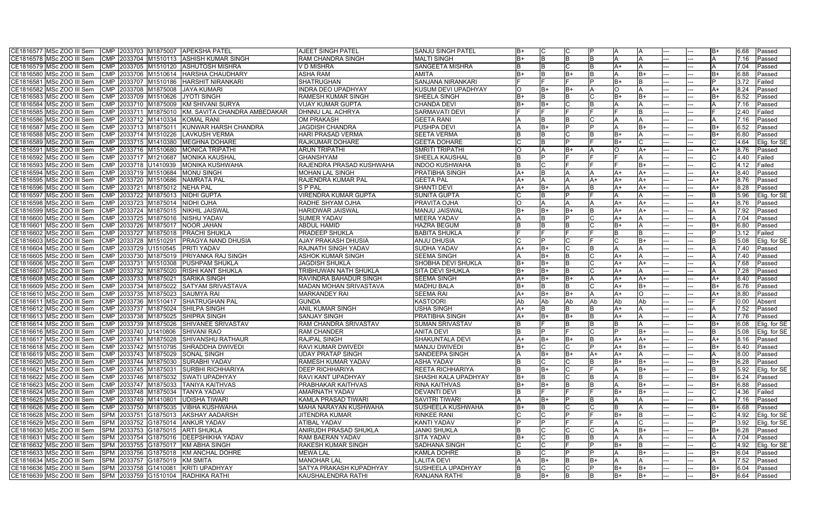| CE1816577 MSc ZOO III Sem                                |            |                      |          | CMP 2033703 M1875007 APEKSHA PATEL                     | <b>AJEET SINGH PATEL</b>      | <b>SANJU SINGH PATEL</b>                | IB+  |          |     |      |     |           |  |            | 6.68 | Passed            |
|----------------------------------------------------------|------------|----------------------|----------|--------------------------------------------------------|-------------------------------|-----------------------------------------|------|----------|-----|------|-----|-----------|--|------------|------|-------------------|
| CE1816578 MSc ZOO III Sem                                |            |                      |          | CMP 2033704 M1510113 ASHISH KUMAR SINGH                | <b>RAM CHANDRA SINGH</b>      | <b>MALTI SINGH</b>                      |      | lB.      |     |      |     |           |  |            | 7.16 | Passed            |
| CE1816579 MSc ZOO III Sem                                |            |                      |          | CMP 2033705 M1510120 ASHUTOSH MISHRA                   | V D MISHRA                    | <b>SANGEETA MISHRA</b>                  |      | IB.      |     |      | A+  |           |  |            | 7.04 | Passed            |
| CE1816580 MSc ZOO III Sem                                | <b>CMP</b> | 2033706 M1510614     |          | <b>HARSHA CHAUDHARY</b>                                | ASHA RAM                      | AMITA                                   |      |          |     |      |     | B+        |  |            | 6.88 | Passed            |
| CE1816581 MSc ZOO III Sem                                | <b>CMP</b> | 2033707 M1510186     |          | <b>HARSHIT NIRANKARI</b>                               | <b>SHATRUGHAN</b>             | SANJANA NIRANKARI                       |      |          |     |      | lB+ |           |  |            | 3.72 | Failed            |
| CE1816582 MSc ZOO III Sem                                | <b>CMP</b> | 2033708 M1875008     |          | <b>JAYA KUMARI</b>                                     | <b>INDRA DEO UPADHYAY</b>     | KUSUM DEVI UPADHYAY                     |      | lB+      |     |      | lO. |           |  |            | 8.24 | Passed            |
| CE1816583 MSc ZOO III Sem                                | <b>CMP</b> | 2033709 M1510626     |          | JYOTI SINGH                                            | <b>RAMESH KUMAR SINGH</b>     | SHEELA SINGH                            | $B+$ | lB.      |     |      | B+  | B+        |  |            | 6.52 | Passed            |
| CE1816584   MSc ZOO III Sem                              | <b>CMP</b> | 2033710 M1875009     |          | KM SHIVANI SURYA                                       | VIJAY KUMAR GUPTA             | CHANDA DEVI                             |      | lB+      |     |      |     |           |  |            | 7.16 | Passed            |
| CE1816585   MSc ZOO III Sem                              | <b>CMP</b> |                      |          | 2033711 M1875010 KM. SAVITA CHANDRA AMBEDAKAR          | DHNNU LAL ACHRYA              | <b>SARMAVATI DEVI</b>                   |      |          |     |      |     |           |  |            | 2.40 | Failed            |
| CE1816586 MSc ZOO III Sem                                | <b>CMP</b> | 2033712 M1410334     |          | <b>KOMAL RANI</b>                                      | <b>OM PRAKASH</b>             | <b>GEETA RANI</b>                       |      |          |     |      |     |           |  |            | 7.16 | Passed            |
| CE1816587 MSc ZOO III Sem                                |            | CMP 2033713 M1875011 |          | KUNWAR HARSH CHANDRA                                   | <b>JAGDISH CHANDRA</b>        | PUSHPA DEVI                             |      | lB+      |     |      |     | B+        |  |            | 6.52 | Passed            |
| CE1816588 MSc ZOO III Sem                                | <b>CMP</b> | 2033714              | M1510226 | LAVKUSH VERMA                                          | <b>HARI PRASAD VERMA</b>      | <b>SEETA VERMA</b>                      |      |          |     |      | lB+ |           |  |            | 6.80 | Passed            |
| CE1816589   MSc ZOO III Sem                              | <b>CMP</b> | 2033715 M1410380     |          | <b>MEGHNA DOHARE</b>                                   | <b>RAJKUMAR DOHARE</b>        | <b>GEETA DOHARE</b>                     |      |          |     |      | B+  |           |  |            | 4.64 | Elig. for SE      |
| CE1816591 MSc ZOO III Sem                                | <b>CMP</b> | 2033716 M1510680     |          | <b>MONICA TRIPATHI</b>                                 | <b>ARUN TRIPATHI</b>          | SMRITI TRIPATHI                         |      |          |     |      | IO. | A+        |  | A۰         | 8.76 | Passed            |
| CE1816592 MSc ZOO III Sem                                |            | CMP 2033717 M1210687 |          | <b>MONIKA KAUSHAL</b>                                  | <b>GHANSHYAM</b>              | SHEELA KAUSHAL                          |      | D        |     |      |     |           |  |            | 4.40 | Failed            |
| CE1816593   MSc ZOO III Sem                              |            | CMP 2033718 U1410939 |          | <b>IMONIKA KUSHWAHA</b>                                | RAJENDRA PRASAD KUSHWAHA      | INDOO KUSHWAHA                          |      |          |     |      |     | lB+       |  |            | 4.12 | Failed            |
| CE1816594 MSc ZOO III Sem                                |            |                      |          | CMP 2033719 M1510684 MONU SINGH                        | <b>MOHAN LAL SINGH</b>        | PRATIBHA SINGH                          | A+   | IB       |     |      | A+  | $A+$      |  | A+         | 8.40 | Passed            |
| CE1816595 MSc ZOO III Sem                                |            |                      |          | CMP 2033720 M1510686 NAMRATA PAL                       | RAJENDRA KUMAR PAL            | <b>GEETA PAL</b>                        | A+   |          |     | IA+  | A+  | A+        |  | A+         | 8.76 | Passed            |
| CE1816596 MSc ZOO III Sem                                |            | CMP 2033721 M1875012 |          | <b>NEHA PAL</b>                                        | <b>SPPAL</b>                  | <b>SHANTI DEVI</b>                      |      | lB+      |     |      | A+  | $A+$      |  | A+         | 8.28 | Passed            |
| CE1816597 MSc ZOO III Sem                                |            |                      |          | CMP 2033722 M1875013 NIDHI GUPTA                       | <b>VIRENDRA KUMAR GUPTA</b>   | <b>SUNITA GUPTA</b>                     |      | IB       |     |      |     |           |  |            | 5.96 | Elig. for SE      |
| CE1816598 MSc ZOO III Sem                                | <b>CMP</b> | 2033723 M1875014     |          | NIDHI OJHA                                             | RADHE SHYAM OJHA              | PRAVITA OJHA                            |      |          |     |      | A+  | A+        |  | A+         | 8.76 | Passed            |
| CE1816599 MSc ZOO III Sem                                | <b>CMP</b> | 2033724 M1875015     |          | <b>INIKHIL JAISWAL</b>                                 | <b>HARIDWAR JAISWAL</b>       | MANJU JAISWAL                           |      | lB+      |     |      | A+  | A+        |  |            | 7.92 | Passed            |
| CE1816600 MSc ZOO III Sem                                | <b>CMP</b> | 2033725 M1875016     |          | <b>NISHU YADAV</b>                                     | <b>SUMER YADAV</b>            | <b>MEERA YADAV</b>                      |      |          |     |      | A+  |           |  |            | 7.04 | Passed            |
| CE1816601 MSc ZOO III Sem                                | <b>CMP</b> | 2033726 M1875017     |          | NOOR JAHAN                                             | <b>ABDUL HAMID</b>            | HAZRA BEGUM                             |      | IB.      |     |      | B+  |           |  |            | 6.80 | Passed            |
| CE1816602 MSc ZOO III Sem                                | <b>CMP</b> | 2033727 M1875018     |          | <b>PRACHI SHUKLA</b>                                   | <b>PRADEEP SHUKLA</b>         | <b>BABITA SHUKLA</b>                    |      |          |     |      |     |           |  |            | 3.12 | Failed            |
| CE1816603 MSc ZOO III Sem                                | <b>CMP</b> | 2033728 M1510291     |          | <b>PRAGYA NAND DHUSIA</b>                              | <b>AJAY PRAKASH DHUSIA</b>    | <b>ANJU DHUSIA</b>                      |      |          |     |      |     | B+        |  |            | 5.08 | Elig. for SE      |
| CE1816604 MSc ZOO III Sem                                | <b>CMP</b> | 2033729 U1510545     |          | <b>PRITI YADAV</b>                                     | <b>RAJNATH SINGH YADAV</b>    | <b>SUDHA YADAV</b>                      |      | lB+      |     |      |     |           |  |            | 7.40 | Passed            |
| CE1816605 MSc ZOO III Sem                                |            | CMP 2033730 M1875019 |          | <b>PRIYANKA RAJ SINGH</b>                              | <b>ASHOK KUMAR SINGH</b>      | <b>SEEMA SINGH</b>                      |      | lB+      |     |      | A+  |           |  |            | 7.40 | Passed            |
| CE1816606 MSc ZOO III Sem                                | <b>CMP</b> | 2033731              | M1510308 | <b>IPUSHPAM SHUKLA</b>                                 | JAGDISH SHUKLA                | SHOBHA DEVI SHUKLA                      |      | lB+      |     |      | A+  | A+        |  |            | 7.68 | Passed            |
| CE1816607 MSc ZOO III Sem                                | <b>CMP</b> | 2033732 M1875020     |          | <b>RISHI KANT SHUKLA</b>                               | TRIBHUWAN NATH SHUKLA         | SITA DEVI SHUKLA                        | IB+  | lB+      |     |      | A+  |           |  |            | 7.28 | Passed            |
| CE1816608   MSc ZOO III Sem                              | <b>CMP</b> | 2033733 M1875021     |          | <b>SARIKA SINGH</b>                                    | RAVINDRA BAHADUR SINGH        | <b>SEEMA SINGH</b>                      |      | lB+      |     |      | A+  | A+        |  |            | 8.40 | Passed            |
| CE1816609   MSc ZOO III Sem                              | <b>CMP</b> | 2033734 M1875022     |          | SATYAM SRIVASTAVA                                      | <b>MADAN MOHAN SRIVASTAVA</b> | <b>MADHU BALA</b>                       | B+   | lB.      |     |      | A+  | $B+$      |  | B+         | 6.76 | Passed            |
| CE1816610 MSc ZOO III Sem                                | <b>CMP</b> |                      |          | 2033735 M1875023 SAUMYA RAI                            | <b>MARKANDEY RAI</b>          | <b>SEEMA RAI</b>                        | A+   | B+       | В+  |      | A+  | $\Omega$  |  | A٦         | 8.80 | Passed            |
| CE1816611 MSc ZOO III Sem                                | <b>CMP</b> | 2033736 M1510417     |          | SHATRUGHAN PAL                                         | <b>GUNDA</b>                  | <b>KASTOORI</b>                         | Ab   | Ab       | Ab  | l Ab | Ab  | Ab        |  |            | 0.00 | Absent            |
| CE1816612 MSc ZOO III Sem                                |            | CMP 2033737 M1875024 |          | SHILPA SINGH                                           | <b>ANIL KUMAR SINGH</b>       | <b>JSHA SINGH</b>                       |      |          |     |      | A+  |           |  |            | 7.52 | Passed            |
| CE1816613 MSc ZOO III Sem                                | <b>CMP</b> | 2033738 M1875025     |          | <b>SHIPRA SINGH</b>                                    | <b>SANJAY SINGH</b>           | PRATIBHA SINGH                          | A+   | lB+      | B+  |      | A+  |           |  |            | 7.76 | Passed            |
| CE1816614 MSc ZOO III Sem                                | <b>CMP</b> | 2033739 M1875026     |          | SHIVANEE SRIVASTAV                                     | RAM CHANDRA SRIVASTAV         | <b>SUMAN SRIVASTAV</b>                  |      |          |     |      |     |           |  |            | 6.08 | Elig. for SE      |
| CE1816616 MSc ZOO III Sem                                | <b>CMP</b> | 2033740 U1410806     |          | <b>SHIVANI RAO</b>                                     | <b>RAM CHANDER</b>            | <b>ANITA DEVI</b>                       |      |          |     |      | D   | B+        |  |            | 5.08 | Elig. for SE      |
| CE1816617 MSc ZOO III Sem                                | <b>CMP</b> |                      |          | 2033741 M1875028 SHIVANSHU RATHAUR                     | <b>RAJPAL SINGH</b>           | SHAKUNTALA DEVI                         |      | IB+      |     |      | A+  | A+        |  | A+         | 8.16 | Passed            |
| CE1816618 MSc ZOO III Sem                                |            |                      |          | CMP 2033742 M1510795 SHRADDHA DWIVEDI                  | <b>RAVI KUMAR DWIVEDI</b>     | MANJU DWIVEDI                           | IB+  |          |     |      | lA+ | IB+       |  | lB+        | 6.40 | <b>Passed</b>     |
| CE1816619 MSc ZOO III Sem                                |            |                      |          | CMP 2033743 M1875029 SONAL SINGH                       | <b>UDAY PRATAP SINGH</b>      | <b>SANDEEPA SINGH</b>                   |      | B+       | lB+ | $A+$ | A+  | ΙA        |  |            | 8.00 | Passed            |
| CE1816620 MSc ZOO III Sem                                |            |                      |          | CMP 2033744 M1875030 SURABHI YADAV                     | <b>RAMESH KUMAR YADAV</b>     | <b>ASHA YADAV</b>                       |      | C        |     |      | B+  | IB+       |  | IB+        | 6.28 | Passed            |
| CE1816621 MSc ZOO III Sem                                |            |                      |          | CMP 2033745 M1875031 SURBHI RICHHARIYA                 | <b>DEEP RICHHARIYA</b>        | <b>REETA RICHHARIYA</b>                 |      | B+       |     |      | ΙA  | B+        |  |            |      | 5.92 Elig. for SE |
| CE1816622 MSc ZOO III Sem                                |            |                      |          | CMP 2033746 M1875032 SWATI UPADHYAY                    | RAVI KANT UPADHYAY            | SHASHI KALA UPADHYAY                    | lB+  | ΙB       |     |      |     | ΙB        |  | B+         | 6.24 | Passed            |
| CE1816623 MSc ZOO III Sem                                |            |                      |          | CMP 2033747 M1875033 TANIYA KAITHVAS                   | <b>PRABHAKAR KAITHVAS</b>     | <b>RINA KAITHVAS</b>                    | B+   | lB+      |     |      | ΙA  | B+        |  | B+         | 6.88 | Passed            |
| CE1816624 MSc ZOO III Sem                                |            |                      |          | CMP 2033748 M1875034 TANYA YADAV                       | <b>AMARNATH YADAV</b>         | <b>DEVANTI DEVI</b>                     |      |          |     |      | lB+ | lB+       |  |            | 4.36 | Failed            |
| CE1816625 MSc ZOO III Sem                                |            | CMP 2033749 M1410801 |          | UDISHA TIWARI                                          | KAMLA PRASAD TIWARI           | <b>SAVITRI TIWARI</b>                   |      | B+       |     |      |     |           |  |            | 7.16 | Passed            |
| CE1816626 MSc ZOO III Sem                                |            |                      |          | CMP 2033750 M1875035 VIBHA KUSHWAHA                    | MAHA NARAYAN KUSHWAHA         | <b>SUSHEELA KUSHWAHA</b>                | IB+  | ΙB       |     |      | IΒ  |           |  | IB+        | 6.68 | Passed            |
| CE1816628 MSc ZOO III Sem                                |            |                      |          | SPM 2033751 G1875013 AKSHAY AADARSH                    | JITENDRA KUMAR                | <b>RINKEE RANI</b>                      |      | D        |     |      | B+  | IΒ        |  |            | 4.92 | Elig. for SE      |
| CE1816629 MSc ZOO III Sem                                |            |                      |          | SPM 2033752 G1875014 ANKUR YADAV                       | <b>ATIBAL YADAV</b>           | <b>KANTI YADAV</b>                      |      |          |     |      |     |           |  |            | 3.92 | Elig. for SE      |
| CE1816630 MSc ZOO III Sem                                |            | SPM 2033753 G1875015 |          | <b>ARTI SHUKLA</b>                                     | <b>ANIRUDH PRASAD SHUKLA</b>  | <b>JANKI SHUKLA</b>                     |      |          |     |      |     | B+        |  | B+         | 6.28 | Passed            |
| CE1816631 MSc ZOO III Sem                                |            |                      |          | SPM 2033754 G1875016 DEEPSHIKHA YADAV                  | <b>RAM BAERAN YADAV</b>       | <b>SITA YADAV</b>                       | $B+$ |          |     |      |     |           |  |            | 7.04 | Passed            |
| CE1816632 MSc ZOO III Sem                                |            | SPM 2033755 G1875017 |          | KM ABHA SINGH                                          | <b>RAKESH KUMAR SINGH</b>     | <b>SADHANA SINGH</b>                    |      | C        |     |      | B+  | IB.       |  |            | 4.92 | Elig. for SE      |
| CE1816633 MSc ZOO III Sem                                |            | SPM 2033756 G1875018 |          | KM ANCHAL DOHRE                                        | <b>MEWA LAL</b>               | <b>KAMLA DOHRE</b>                      |      |          |     |      |     | B+        |  | B+         | 6.04 | Passed            |
| CE1816634 MSc ZOO III Sem<br>CE1816636   MSc ZOO III Sem |            |                      |          | SPM 2033757 G1875019 KM SMITA<br><b>KRITI UPADHYAY</b> | <b>MANOHAR LAL</b>            | <b>LALITA DEVI</b><br>SUSHEELA UPADHYAY |      | B+       |     | IB+  | ΙA  |           |  |            | 7.52 | Passed            |
|                                                          |            | SPM 2033758 G1410081 |          |                                                        | SATYA PRAKASH KUPADHYAY       |                                         |      | IС<br>B+ | ΙB  |      | B+  | lB+<br>B+ |  | lB+<br>lB+ | 6.04 | Passed            |
| CE1816639 MSc ZOO III Sem                                |            |                      |          | SPM 2033759 G1510104 RADHIKA RATHI                     | <b>KAUSHALENDRA RATHI</b>     | <b>RANJANA RATHI</b>                    |      |          |     |      | B+  |           |  |            | 6.64 | Passed            |